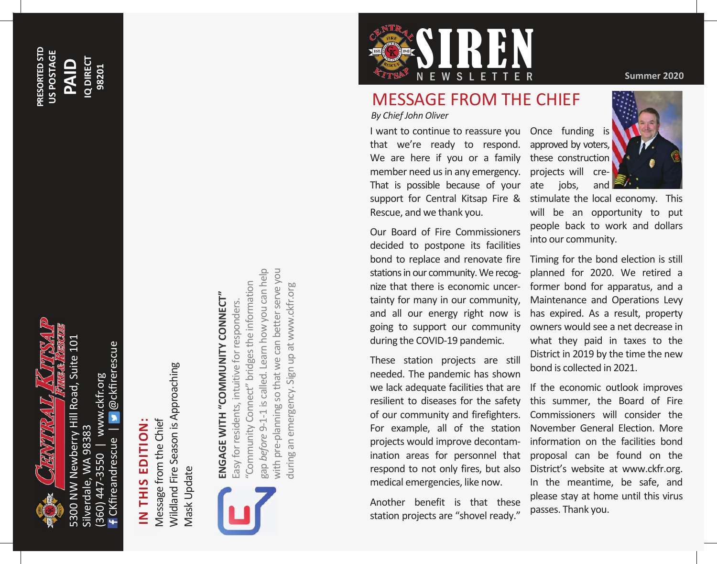

**PRESORTED STD US POSTAGE**

PRESORTED STD US POSTAGE

**PAID**

**IQ DIRECT 98201**

**Q DIRECT** 

@ckfirerescue CKfireandrescue | @ckfirerescue (360) 447-3550 | www.ckfr.org www.ckfr.org Silverdale, WA 98383 Silverdale, WA 98383 Ckfireandrescue 447-3550  $360$ 

# **IN THIS EDITION:**  IN THIS EDITION:

Wildland Fire Season is Approaching Wildland Fire Season is Approaching Message from the Chief Message from the Chief Mask Update **Mask Update** 



# **ENGAGE WITH "COMMUNITY CONNECT"**  ENGAGE WITH "COMMUNITY CONNECT"

gap *before* 9-1-1 is called. Learn how you can help with pre-planning so that we can better serve you gap before 9-1-1 is called. Learn how you can help with pre-planning so that we can better serve you "Community Connect" bridges the information 'Community Connect" bridges the information during an emergency. Sign up at www.ckfr.org during an emergency. Sign up at www.ckfr.orgEasy for residents, intuitive for responders. Easy for residents, intuitive for responders.



## MESSAGE FROM THE CHIEF

*By Chief John Oliver* 

I want to continue to reassure you Once funding is that we're ready to respond. approved by voters, We are here if you or a family these construction member need us in any emergency. projects will cre-That is possible because of your ate support for Central Kitsap Fire & Rescue, and we thank you.

Our Board of Fire Commissioners decided to postpone its facilities bond to replace and renovate fire stations in our community. We recognize that there is economic uncertainty for many in our community, during the COVID-19 pandemic.

These station projects are still needed. The pandemic has shown we lack adequate facilities that are resilient to diseases for the safety of our community and firefighters. For example, all of the station projects would improve decontamrespond to not only fires, but also medical emergencies, like now.

Another benefit is that these station projects are "shovel ready."

jobs, and



stimulate the local economy. This will be an opportunity to put people back to work and dollars into our community.

and all our energy right now is has expired. As a result, property going to support our community owners would see a net decrease in Timing for the bond election is still planned for 2020. We retired a former bond for apparatus, and a Maintenance and Operations Levy what they paid in taxes to the District in 2019 by the time the new bond is collected in 2021.

ination areas for personnel that proposal can be found on the If the economic outlook improves this summer, the Board of Fire Commissioners will consider the November General Election. More information on the facilities bond District's website at www.ckfr.org. In the meantime, be safe, and please stay at home until this virus passes. Thank you.